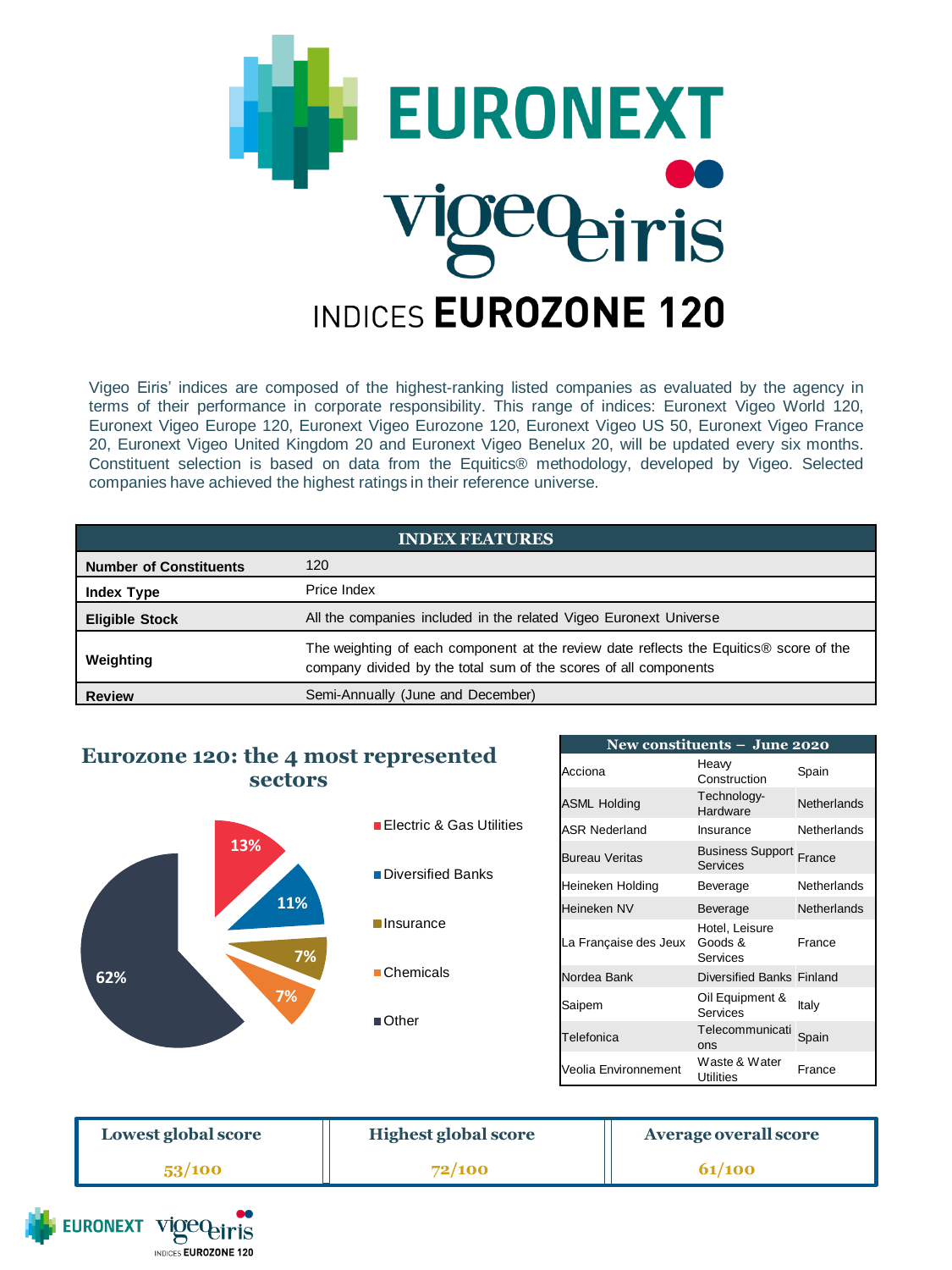

Vigeo Eiris' indices are composed of the highest-ranking listed companies as evaluated by the agency in terms of their performance in corporate responsibility. This range of indices: Euronext Vigeo World 120, Euronext Vigeo Europe 120, Euronext Vigeo Eurozone 120, Euronext Vigeo US 50, Euronext Vigeo France 20, Euronext Vigeo United Kingdom 20 and Euronext Vigeo Benelux 20, will be updated every six months. Constituent selection is based on data from the Equitics® methodology, developed by Vigeo. Selected companies have achieved the highest ratings in their reference universe.

| <b>INDEX FEATURES</b>         |                                                                                                                                                            |  |
|-------------------------------|------------------------------------------------------------------------------------------------------------------------------------------------------------|--|
| <b>Number of Constituents</b> | 120                                                                                                                                                        |  |
| <b>Index Type</b>             | Price Index                                                                                                                                                |  |
| <b>Eligible Stock</b>         | All the companies included in the related Vigeo Euronext Universe                                                                                          |  |
| Weighting                     | The weighting of each component at the review date reflects the Equitics® score of the<br>company divided by the total sum of the scores of all components |  |
| <b>Review</b>                 | Semi-Annually (June and December)                                                                                                                          |  |

## **Eurozone 120: the 4 most represented sectors**



| New constituents - June 2020 |                                            |                    |  |  |
|------------------------------|--------------------------------------------|--------------------|--|--|
| Acciona                      | Heaw<br>Construction                       | Spain              |  |  |
| <b>ASML Holding</b>          | Technology-<br>Hardware                    | <b>Netherlands</b> |  |  |
| <b>ASR Nederland</b>         | Insurance                                  | Netherlands        |  |  |
| <b>Bureau Veritas</b>        | <b>Business Support France</b><br>Services |                    |  |  |
| Heineken Holding             | Beverage                                   | Netherlands        |  |  |
| Heineken NV                  | Beverage                                   | <b>Netherlands</b> |  |  |
| La Française des Jeux        | Hotel, Leisure<br>Goods &<br>Services      | France             |  |  |
| Nordea Bank                  | Diversified Banks Finland                  |                    |  |  |
| Saipem                       | Oil Equipment &<br>Services                | Italy              |  |  |
| Telefonica                   | Telecommunicati<br>ons                     | Spain              |  |  |
| Veolia Environnement         | Waste & Water<br><b>Utilities</b>          | France             |  |  |

| Lowest global score | <b>Highest global score</b> | Average overall score |
|---------------------|-----------------------------|-----------------------|
| 53/100              | 72/100                      | <b>61/100</b>         |

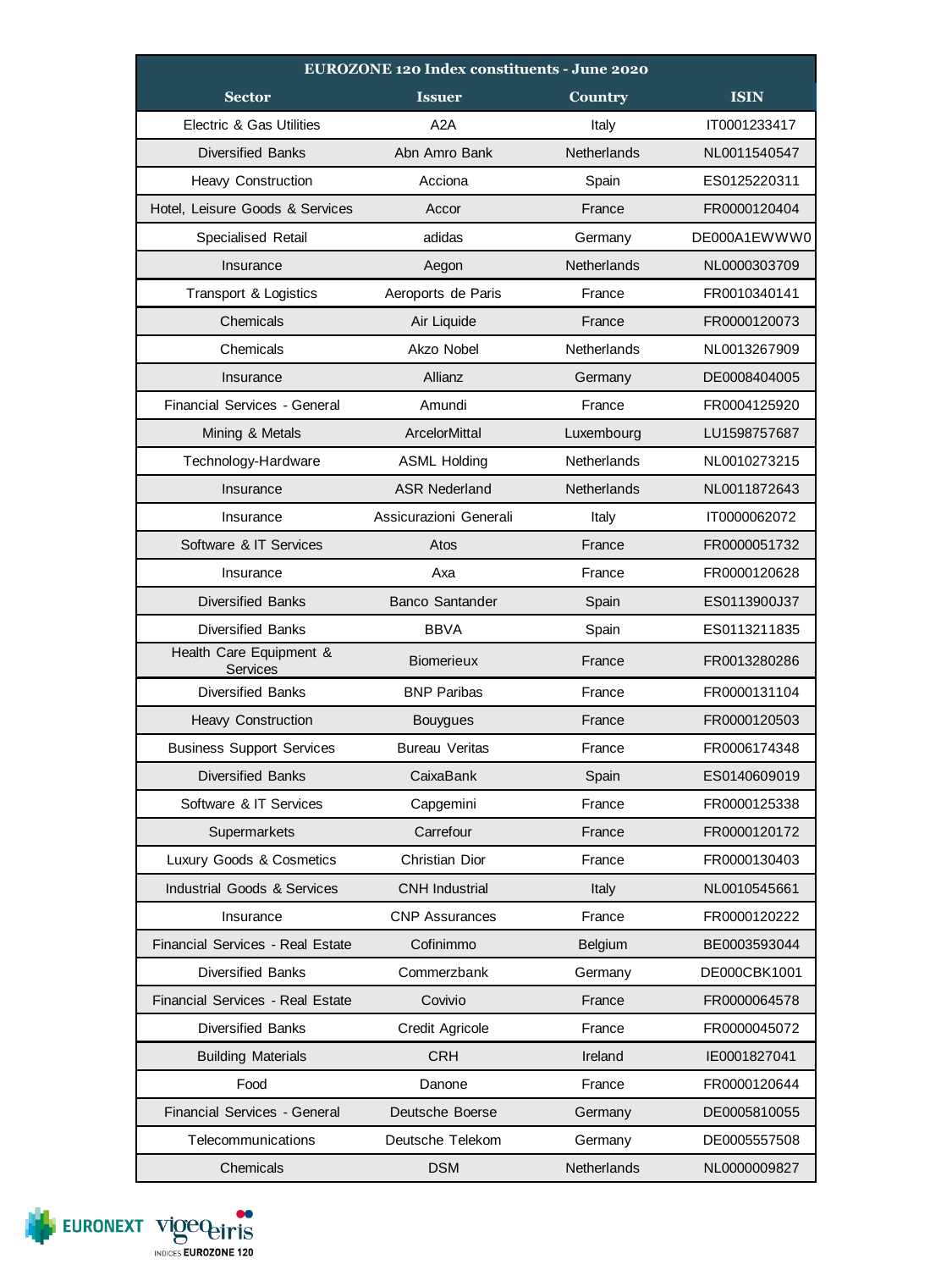| <b>EUROZONE 120 Index constituents - June 2020</b> |                        |                    |              |  |
|----------------------------------------------------|------------------------|--------------------|--------------|--|
| <b>Sector</b>                                      | <b>Issuer</b>          | Country            | <b>ISIN</b>  |  |
| Electric & Gas Utilities                           | A2A                    | Italy              | IT0001233417 |  |
| <b>Diversified Banks</b>                           | Abn Amro Bank          | <b>Netherlands</b> | NL0011540547 |  |
| Heavy Construction                                 | Acciona                | Spain              | ES0125220311 |  |
| Hotel, Leisure Goods & Services                    | Accor                  | France             | FR0000120404 |  |
| Specialised Retail                                 | adidas                 | Germany            | DE000A1EWWW0 |  |
| Insurance                                          | Aegon                  | <b>Netherlands</b> | NL0000303709 |  |
| Transport & Logistics                              | Aeroports de Paris     | France             | FR0010340141 |  |
| Chemicals                                          | Air Liquide            | France             | FR0000120073 |  |
| Chemicals                                          | Akzo Nobel             | Netherlands        | NL0013267909 |  |
| Insurance                                          | Allianz                | Germany            | DE0008404005 |  |
| Financial Services - General                       | Amundi                 | France             | FR0004125920 |  |
| Mining & Metals                                    | <b>ArcelorMittal</b>   | Luxembourg         | LU1598757687 |  |
| Technology-Hardware                                | <b>ASML Holding</b>    | Netherlands        | NL0010273215 |  |
| Insurance                                          | <b>ASR Nederland</b>   | <b>Netherlands</b> | NL0011872643 |  |
| Insurance                                          | Assicurazioni Generali | Italy              | IT0000062072 |  |
| Software & IT Services                             | Atos                   | France             | FR0000051732 |  |
| Insurance                                          | Axa                    | France             | FR0000120628 |  |
| <b>Diversified Banks</b>                           | <b>Banco Santander</b> | Spain              | ES0113900J37 |  |
| <b>Diversified Banks</b>                           | <b>BBVA</b>            | Spain              | ES0113211835 |  |
| Health Care Equipment &<br><b>Services</b>         | Biomerieux             | France             | FR0013280286 |  |
| <b>Diversified Banks</b>                           | <b>BNP Paribas</b>     | France             | FR0000131104 |  |
| <b>Heavy Construction</b>                          | <b>Bouygues</b>        | France             | FR0000120503 |  |
| <b>Business Support Services</b>                   | <b>Bureau Veritas</b>  | France             | FR0006174348 |  |
| <b>Diversified Banks</b>                           | CaixaBank              | Spain              | ES0140609019 |  |
| Software & IT Services                             | Capgemini              | France             | FR0000125338 |  |
| Supermarkets                                       | Carrefour              | France             | FR0000120172 |  |
| Luxury Goods & Cosmetics                           | Christian Dior         | France             | FR0000130403 |  |
| <b>Industrial Goods &amp; Services</b>             | <b>CNH Industrial</b>  | Italy              | NL0010545661 |  |
| Insurance                                          | <b>CNP Assurances</b>  | France             | FR0000120222 |  |
| Financial Services - Real Estate                   | Cofinimmo              | Belgium            | BE0003593044 |  |
| <b>Diversified Banks</b>                           | Commerzbank            | Germany            | DE000CBK1001 |  |
| Financial Services - Real Estate                   | Covivio                | France             | FR0000064578 |  |
| Diversified Banks                                  | Credit Agricole        | France             | FR0000045072 |  |
| <b>Building Materials</b>                          | <b>CRH</b>             | Ireland            | IE0001827041 |  |
| Food                                               | Danone                 | France             | FR0000120644 |  |
| Financial Services - General                       | Deutsche Boerse        | Germany            | DE0005810055 |  |
| Telecommunications                                 | Deutsche Telekom       | Germany            | DE0005557508 |  |
| Chemicals                                          | <b>DSM</b>             | Netherlands        | NL0000009827 |  |

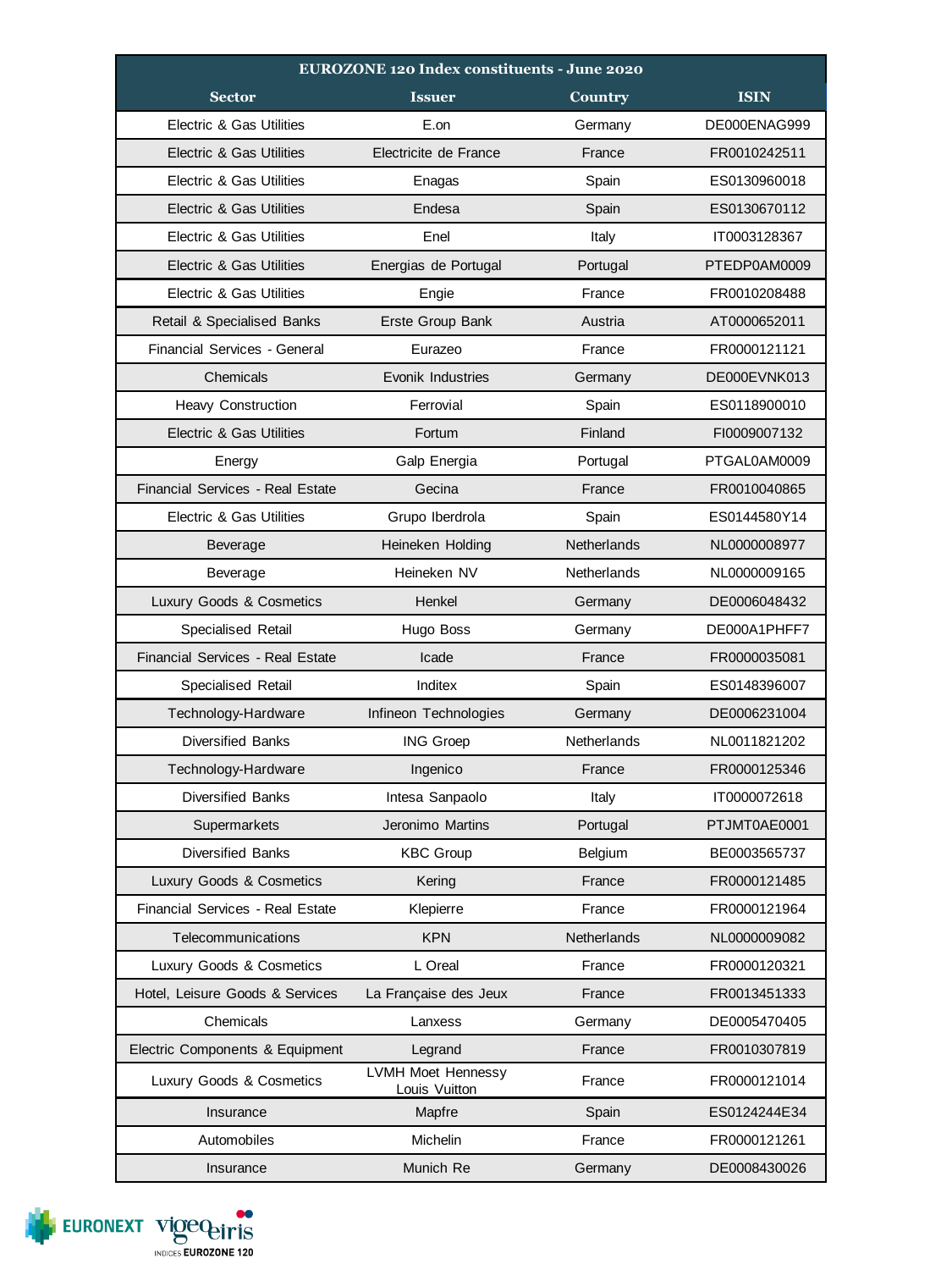| <b>EUROZONE 120 Index constituents - June 2020</b> |                                            |             |              |
|----------------------------------------------------|--------------------------------------------|-------------|--------------|
| <b>Sector</b>                                      | <b>Issuer</b>                              | Country     | <b>ISIN</b>  |
| <b>Electric &amp; Gas Utilities</b>                | E.on                                       | Germany     | DE000ENAG999 |
| Electric & Gas Utilities                           | Electricite de France                      | France      | FR0010242511 |
| Electric & Gas Utilities                           | Enagas                                     | Spain       | ES0130960018 |
| <b>Electric &amp; Gas Utilities</b>                | Endesa                                     | Spain       | ES0130670112 |
| Electric & Gas Utilities                           | Enel                                       | Italy       | IT0003128367 |
| <b>Electric &amp; Gas Utilities</b>                | Energias de Portugal                       | Portugal    | PTEDP0AM0009 |
| Electric & Gas Utilities                           | Engie                                      | France      | FR0010208488 |
| Retail & Specialised Banks                         | Erste Group Bank                           | Austria     | AT0000652011 |
| Financial Services - General                       | Eurazeo                                    | France      | FR0000121121 |
| Chemicals                                          | Evonik Industries                          | Germany     | DE000EVNK013 |
| <b>Heavy Construction</b>                          | Ferrovial                                  | Spain       | ES0118900010 |
| Electric & Gas Utilities                           | Fortum                                     | Finland     | FI0009007132 |
| Energy                                             | Galp Energia                               | Portugal    | PTGAL0AM0009 |
| Financial Services - Real Estate                   | Gecina                                     | France      | FR0010040865 |
| Electric & Gas Utilities                           | Grupo Iberdrola                            | Spain       | ES0144580Y14 |
| Beverage                                           | Heineken Holding                           | Netherlands | NL0000008977 |
| Beverage                                           | Heineken NV                                | Netherlands | NL0000009165 |
| Luxury Goods & Cosmetics                           | Henkel                                     | Germany     | DE0006048432 |
| Specialised Retail                                 | Hugo Boss                                  | Germany     | DE000A1PHFF7 |
| Financial Services - Real Estate                   | Icade                                      | France      | FR0000035081 |
| Specialised Retail                                 | Inditex                                    | Spain       | ES0148396007 |
| Technology-Hardware                                | Infineon Technologies                      | Germany     | DE0006231004 |
| <b>Diversified Banks</b>                           | <b>ING Groep</b>                           | Netherlands | NL0011821202 |
| Technology-Hardware                                | Ingenico                                   | France      | FR0000125346 |
| <b>Diversified Banks</b>                           | Intesa Sanpaolo                            | Italy       | IT0000072618 |
| Supermarkets                                       | Jeronimo Martins                           | Portugal    | PTJMT0AE0001 |
| Diversified Banks                                  | <b>KBC Group</b>                           | Belgium     | BE0003565737 |
| Luxury Goods & Cosmetics                           | Kering                                     | France      | FR0000121485 |
| Financial Services - Real Estate                   | Klepierre                                  | France      | FR0000121964 |
| Telecommunications                                 | <b>KPN</b>                                 | Netherlands | NL0000009082 |
| Luxury Goods & Cosmetics                           | L Oreal                                    | France      | FR0000120321 |
| Hotel, Leisure Goods & Services                    | La Française des Jeux                      | France      | FR0013451333 |
| Chemicals                                          | Lanxess                                    | Germany     | DE0005470405 |
| Electric Components & Equipment                    | Legrand                                    | France      | FR0010307819 |
| Luxury Goods & Cosmetics                           | <b>LVMH Moet Hennessy</b><br>Louis Vuitton | France      | FR0000121014 |
| Insurance                                          | Mapfre                                     | Spain       | ES0124244E34 |
| Automobiles                                        | Michelin                                   | France      | FR0000121261 |
| Insurance                                          | Munich Re                                  | Germany     | DE0008430026 |

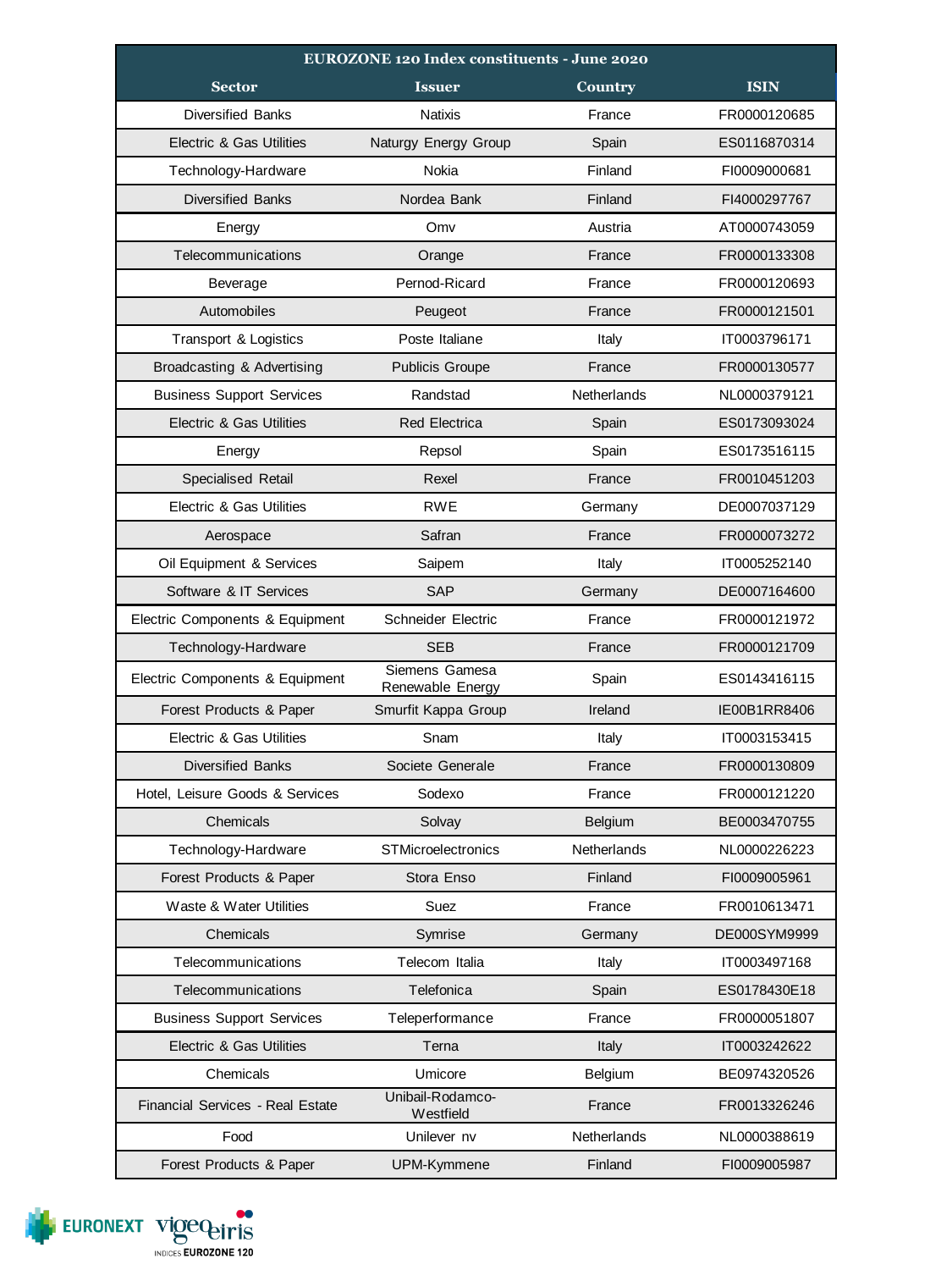| <b>EUROZONE 120 Index constituents - June 2020</b> |                                    |                |                     |
|----------------------------------------------------|------------------------------------|----------------|---------------------|
| <b>Sector</b>                                      | <b>Issuer</b>                      | <b>Country</b> | <b>ISIN</b>         |
| <b>Diversified Banks</b>                           | <b>Natixis</b>                     | France         | FR0000120685        |
| Electric & Gas Utilities                           | Naturgy Energy Group               | Spain          | ES0116870314        |
| Technology-Hardware                                | Nokia                              | Finland        | FI0009000681        |
| <b>Diversified Banks</b>                           | Nordea Bank                        | Finland        | FI4000297767        |
| Energy                                             | Omv                                | Austria        | AT0000743059        |
| Telecommunications                                 | Orange                             | France         | FR0000133308        |
| Beverage                                           | Pernod-Ricard                      | France         | FR0000120693        |
| Automobiles                                        | Peugeot                            | France         | FR0000121501        |
| Transport & Logistics                              | Poste Italiane                     | Italy          | IT0003796171        |
| Broadcasting & Advertising                         | <b>Publicis Groupe</b>             | France         | FR0000130577        |
| <b>Business Support Services</b>                   | Randstad                           | Netherlands    | NL0000379121        |
| <b>Electric &amp; Gas Utilities</b>                | <b>Red Electrica</b>               | Spain          | ES0173093024        |
| Energy                                             | Repsol                             | Spain          | ES0173516115        |
| Specialised Retail                                 | Rexel                              | France         | FR0010451203        |
| Electric & Gas Utilities                           | <b>RWE</b>                         | Germany        | DE0007037129        |
| Aerospace                                          | Safran                             | France         | FR0000073272        |
| Oil Equipment & Services                           | Saipem                             | Italy          | IT0005252140        |
| Software & IT Services                             | <b>SAP</b>                         | Germany        | DE0007164600        |
| Electric Components & Equipment                    | Schneider Electric                 | France         | FR0000121972        |
| Technology-Hardware                                | <b>SEB</b>                         | France         | FR0000121709        |
| Electric Components & Equipment                    | Siemens Gamesa<br>Renewable Energy | Spain          | ES0143416115        |
| Forest Products & Paper                            | Smurfit Kappa Group                | Ireland        | <b>IE00B1RR8406</b> |
| Electric & Gas Utilities                           | Snam                               | Italy          | IT0003153415        |
| <b>Diversified Banks</b>                           | Societe Generale                   | France         | FR0000130809        |
| Hotel, Leisure Goods & Services                    | Sodexo                             | France         | FR0000121220        |
| Chemicals                                          | Solvay                             | Belgium        | BE0003470755        |
| Technology-Hardware                                | <b>STMicroelectronics</b>          | Netherlands    | NL0000226223        |
| Forest Products & Paper                            | Stora Enso                         | Finland        | FI0009005961        |
| Waste & Water Utilities                            | Suez                               | France         | FR0010613471        |
| Chemicals                                          | Symrise                            | Germany        | DE000SYM9999        |
| Telecommunications                                 | Telecom Italia                     | Italy          | IT0003497168        |
| Telecommunications                                 | Telefonica                         | Spain          | ES0178430E18        |
| <b>Business Support Services</b>                   | Teleperformance                    | France         | FR0000051807        |
| <b>Electric &amp; Gas Utilities</b>                | Terna                              | Italy          | IT0003242622        |
| Chemicals                                          | Umicore                            | Belgium        | BE0974320526        |
| Financial Services - Real Estate                   | Unibail-Rodamco-<br>Westfield      | France         | FR0013326246        |
| Food                                               | Unilever nv                        | Netherlands    | NL0000388619        |
| Forest Products & Paper                            | UPM-Kymmene                        | Finland        | FI0009005987        |